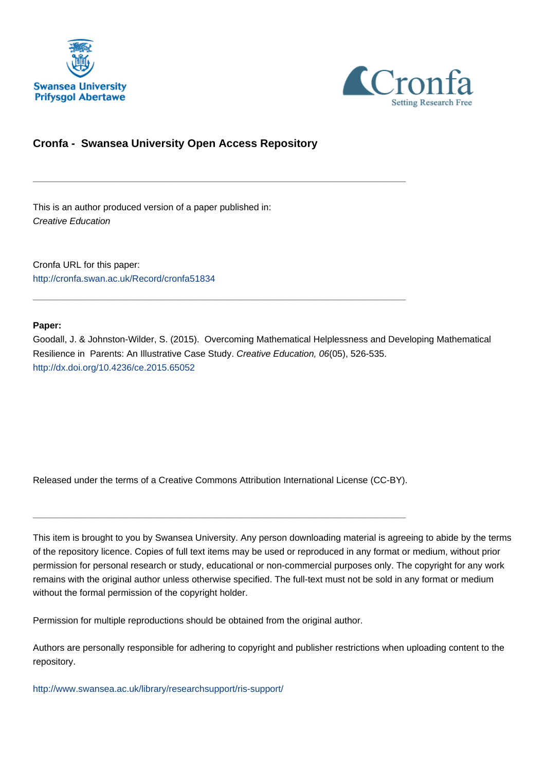



# **Cronfa - Swansea University Open Access Repository**

\_\_\_\_\_\_\_\_\_\_\_\_\_\_\_\_\_\_\_\_\_\_\_\_\_\_\_\_\_\_\_\_\_\_\_\_\_\_\_\_\_\_\_\_\_\_\_\_\_\_\_\_\_\_\_\_\_\_\_\_\_

\_\_\_\_\_\_\_\_\_\_\_\_\_\_\_\_\_\_\_\_\_\_\_\_\_\_\_\_\_\_\_\_\_\_\_\_\_\_\_\_\_\_\_\_\_\_\_\_\_\_\_\_\_\_\_\_\_\_\_\_\_

This is an author produced version of a paper published in: Creative Education

Cronfa URL for this paper: <http://cronfa.swan.ac.uk/Record/cronfa51834>

# **Paper:**

Goodall, J. & Johnston-Wilder, S. (2015). Overcoming Mathematical Helplessness and Developing Mathematical Resilience in Parents: An Illustrative Case Study. Creative Education, 06(05), 526-535. <http://dx.doi.org/10.4236/ce.2015.65052>

Released under the terms of a Creative Commons Attribution International License (CC-BY).

\_\_\_\_\_\_\_\_\_\_\_\_\_\_\_\_\_\_\_\_\_\_\_\_\_\_\_\_\_\_\_\_\_\_\_\_\_\_\_\_\_\_\_\_\_\_\_\_\_\_\_\_\_\_\_\_\_\_\_\_\_

This item is brought to you by Swansea University. Any person downloading material is agreeing to abide by the terms of the repository licence. Copies of full text items may be used or reproduced in any format or medium, without prior permission for personal research or study, educational or non-commercial purposes only. The copyright for any work remains with the original author unless otherwise specified. The full-text must not be sold in any format or medium without the formal permission of the copyright holder.

Permission for multiple reproductions should be obtained from the original author.

Authors are personally responsible for adhering to copyright and publisher restrictions when uploading content to the repository.

[http://www.swansea.ac.uk/library/researchsupport/ris-support/](http://www.swansea.ac.uk/library/researchsupport/ris-support/ )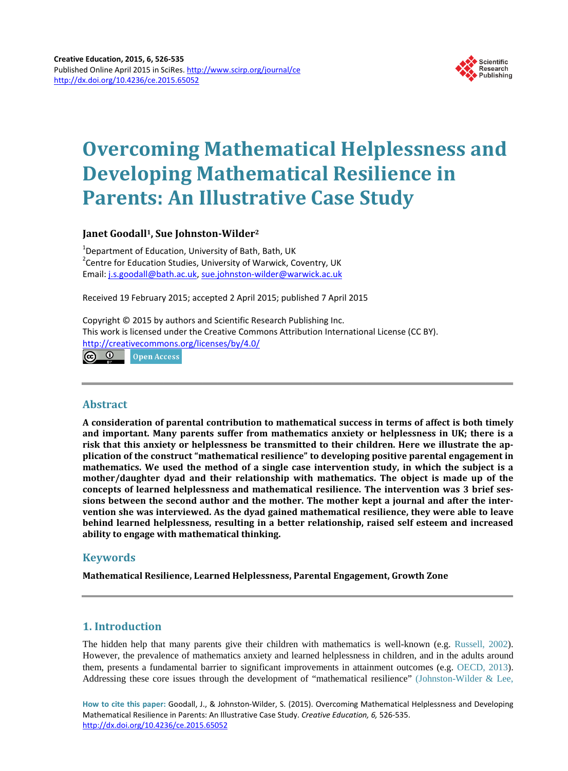

# **Overcoming Mathematical Helplessness and Developing Mathematical Resilience in Parents: An Illustrative Case Study**

# **Janet Goodall1, Sue Johnston-Wilder2**

<sup>1</sup>Department of Education, University of Bath, Bath, UK<br><sup>2</sup>Centre for Education Studies, University of Menuiely C <sup>2</sup> Centre for Education Studies, University of Warwick, Coventry, UK Email: j.s.goodall@bath.ac.uk, sue.johnston-wilder@warwick.ac.uk

Received 19 February 2015; accepted 2 April 2015; published 7 April 2015

Copyright © 2015 by authors and Scientific Research Publishing Inc. This work is licensed under the Creative Commons Attribution International License (CC BY). http://creativecommons.org/licenses/by/4.0/ <u>ල 0</u>

Open Access

# **Abstract**

**A consideration of parental contribution to mathematical success in terms of affect is both timely and important. Many parents suffer from mathematics anxiety or helplessness in UK; there is a risk that this anxiety or helplessness be transmitted to their children. Here we illustrate the application of the construct "mathematical resilience" to developing positive parental engagement in mathematics. We used the method of a single case intervention study, in which the subject is a mother/daughter dyad and their relationship with mathematics. The object is made up of the concepts of learned helplessness and mathematical resilience. The intervention was 3 brief sessions between the second author and the mother. The mother kept a journal and after the intervention she was interviewed. As the dyad gained mathematical resilience, they were able to leave behind learned helplessness, resulting in a better relationship, raised self esteem and increased ability to engage with mathematical thinking.**

# **Keywords**

**Mathematical Resilience, Learned Helplessness, Parental Engagement, Growth Zone**

# **1. Introduction**

The hidden help that many parents give their children with mathematics is well-known (e.g. Russell, 2002). However, the prevalence of mathematics anxiety and learned helplessness in children, and in the adults around them, presents a fundamental barrier to significant improvements in attainment outcomes (e.g. OECD, 2013). Addressing these core issues through the development of "mathematical resilience" (Johnston-Wilder & Lee,

**How to cite this paper:** Goodall, J., & Johnston-Wilder, S. (2015). Overcoming Mathematical Helplessness and Developing Mathematical Resilience in Parents: An Illustrative Case Study. *Creative Education, 6,* 526-535. http://dx.doi.org/10.4236/ce.2015.65052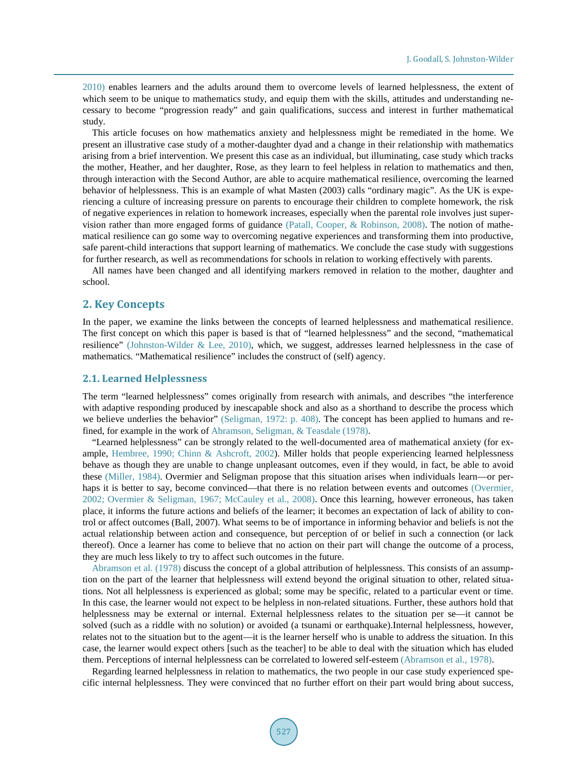2010) enables learners and the adults around them to overcome levels of learned helplessness, the extent of which seem to be unique to mathematics study, and equip them with the skills, attitudes and understanding necessary to become "progression ready" and gain qualifications, success and interest in further mathematical study.

This article focuses on how mathematics anxiety and helplessness might be remediated in the home. We present an illustrative case study of a mother-daughter dyad and a change in their relationship with mathematics arising from a brief intervention. We present this case as an individual, but illuminating, case study which tracks the mother, Heather, and her daughter, Rose, as they learn to feel helpless in relation to mathematics and then, through interaction with the Second Author, are able to acquire mathematical resilience, overcoming the learned behavior of helplessness. This is an example of what Masten (2003) calls "ordinary magic". As the UK is experiencing a culture of increasing pressure on parents to encourage their children to complete homework, the risk of negative experiences in relation to homework increases, especially when the parental role involves just supervision rather than more engaged forms of guidance (Patall, Cooper, & Robinson, 2008). The notion of mathematical resilience can go some way to overcoming negative experiences and transforming them into productive, safe parent-child interactions that support learning of mathematics. We conclude the case study with suggestions for further research, as well as recommendations for schools in relation to working effectively with parents.

All names have been changed and all identifying markers removed in relation to the mother, daughter and school.

## **2. Key Concepts**

In the paper, we examine the links between the concepts of learned helplessness and mathematical resilience. The first concept on which this paper is based is that of "learned helplessness" and the second, "mathematical resilience" (Johnston-Wilder & Lee, 2010), which, we suggest, addresses learned helplessness in the case of mathematics. "Mathematical resilience" includes the construct of (self) agency.

#### **2.1. Learned Helplessness**

The term "learned helplessness" comes originally from research with animals, and describes "the interference with adaptive responding produced by inescapable shock and also as a shorthand to describe the process which we believe underlies the behavior" (Seligman, 1972: p. 408). The concept has been applied to humans and refined, for example in the work of Abramson, Seligman, & Teasdale (1978).

"Learned helplessness" can be strongly related to the well-documented area of mathematical anxiety (for example, Hembree, 1990; Chinn & Ashcroft, 2002). Miller holds that people experiencing learned helplessness behave as though they are unable to change unpleasant outcomes, even if they would, in fact, be able to avoid these (Miller, 1984). Overmier and Seligman propose that this situation arises when individuals learn—or perhaps it is better to say, become convinced—that there is no relation between events and outcomes (Overmier, 2002; Overmier & Seligman, 1967; McCauley et al., 2008). Once this learning, however erroneous, has taken place, it informs the future actions and beliefs of the learner; it becomes an expectation of lack of ability to control or affect outcomes (Ball, 2007). What seems to be of importance in informing behavior and beliefs is not the actual relationship between action and consequence, but perception of or belief in such a connection (or lack thereof). Once a learner has come to believe that no action on their part will change the outcome of a process, they are much less likely to try to affect such outcomes in the future.

Abramson et al. (1978) discuss the concept of a global attribution of helplessness. This consists of an assumption on the part of the learner that helplessness will extend beyond the original situation to other, related situations. Not all helplessness is experienced as global; some may be specific, related to a particular event or time. In this case, the learner would not expect to be helpless in non-related situations. Further, these authors hold that helplessness may be external or internal. External helplessness relates to the situation per se—it cannot be solved (such as a riddle with no solution) or avoided (a tsunami or earthquake).Internal helplessness, however, relates not to the situation but to the agent—it is the learner herself who is unable to address the situation. In this case, the learner would expect others [such as the teacher] to be able to deal with the situation which has eluded them. Perceptions of internal helplessness can be correlated to lowered self-esteem (Abramson et al., 1978).

Regarding learned helplessness in relation to mathematics, the two people in our case study experienced specific internal helplessness. They were convinced that no further effort on their part would bring about success,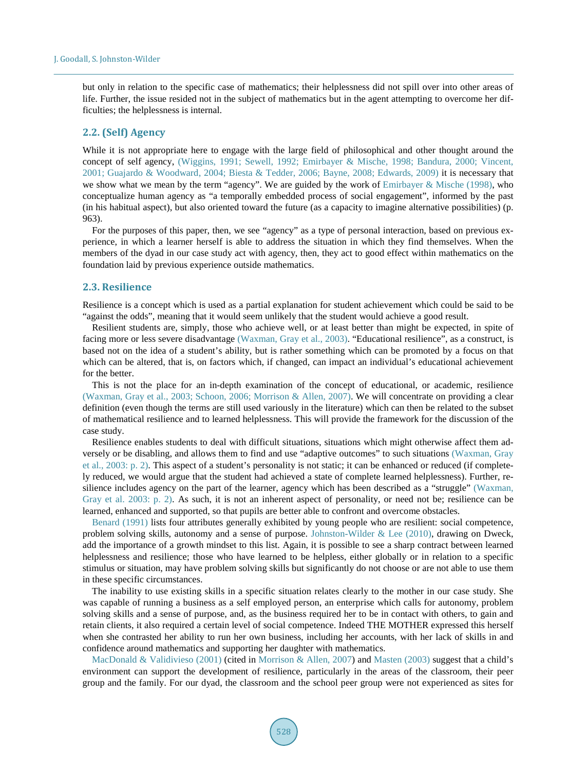but only in relation to the specific case of mathematics; their helplessness did not spill over into other areas of life. Further, the issue resided not in the subject of mathematics but in the agent attempting to overcome her difficulties; the helplessness is internal.

## **2.2. (Self) Agency**

While it is not appropriate here to engage with the large field of philosophical and other thought around the concept of self agency, (Wiggins, 1991; Sewell, 1992; Emirbayer & Mische, 1998; Bandura, 2000; Vincent, 2001; Guajardo & Woodward, 2004; Biesta & Tedder, 2006; Bayne, 2008; Edwards, 2009) it is necessary that we show what we mean by the term "agency". We are guided by the work of Emirbayer & Mische (1998), who conceptualize human agency as "a temporally embedded process of social engagement", informed by the past (in his habitual aspect), but also oriented toward the future (as a capacity to imagine alternative possibilities) (p. 963).

For the purposes of this paper, then, we see "agency" as a type of personal interaction, based on previous experience, in which a learner herself is able to address the situation in which they find themselves. When the members of the dyad in our case study act with agency, then, they act to good effect within mathematics on the foundation laid by previous experience outside mathematics.

#### **2.3. Resilience**

Resilience is a concept which is used as a partial explanation for student achievement which could be said to be "against the odds", meaning that it would seem unlikely that the student would achieve a good result.

Resilient students are, simply, those who achieve well, or at least better than might be expected, in spite of facing more or less severe disadvantage (Waxman, Gray et al., 2003). "Educational resilience", as a construct, is based not on the idea of a student's ability, but is rather something which can be promoted by a focus on that which can be altered, that is, on factors which, if changed, can impact an individual's educational achievement for the better.

This is not the place for an in-depth examination of the concept of educational, or academic, resilience (Waxman, Gray et al., 2003; Schoon, 2006; Morrison & Allen, 2007). We will concentrate on providing a clear definition (even though the terms are still used variously in the literature) which can then be related to the subset of mathematical resilience and to learned helplessness. This will provide the framework for the discussion of the case study.

Resilience enables students to deal with difficult situations, situations which might otherwise affect them adversely or be disabling, and allows them to find and use "adaptive outcomes" to such situations (Waxman, Gray et al., 2003: p. 2). This aspect of a student's personality is not static; it can be enhanced or reduced (if completely reduced, we would argue that the student had achieved a state of complete learned helplessness). Further, resilience includes agency on the part of the learner, agency which has been described as a "struggle" (Waxman, Gray et al. 2003: p. 2). As such, it is not an inherent aspect of personality, or need not be; resilience can be learned, enhanced and supported, so that pupils are better able to confront and overcome obstacles.

Benard (1991) lists four attributes generally exhibited by young people who are resilient: social competence, problem solving skills, autonomy and a sense of purpose. Johnston-Wilder & Lee (2010), drawing on Dweck, add the importance of a growth mindset to this list. Again, it is possible to see a sharp contract between learned helplessness and resilience; those who have learned to be helpless, either globally or in relation to a specific stimulus or situation, may have problem solving skills but significantly do not choose or are not able to use them in these specific circumstances.

The inability to use existing skills in a specific situation relates clearly to the mother in our case study. She was capable of running a business as a self employed person, an enterprise which calls for autonomy, problem solving skills and a sense of purpose, and, as the business required her to be in contact with others, to gain and retain clients, it also required a certain level of social competence. Indeed THE MOTHER expressed this herself when she contrasted her ability to run her own business, including her accounts, with her lack of skills in and confidence around mathematics and supporting her daughter with mathematics.

MacDonald & Validivieso (2001) (cited in Morrison & Allen, 2007) and Masten (2003) suggest that a child's environment can support the development of resilience, particularly in the areas of the classroom, their peer group and the family. For our dyad, the classroom and the school peer group were not experienced as sites for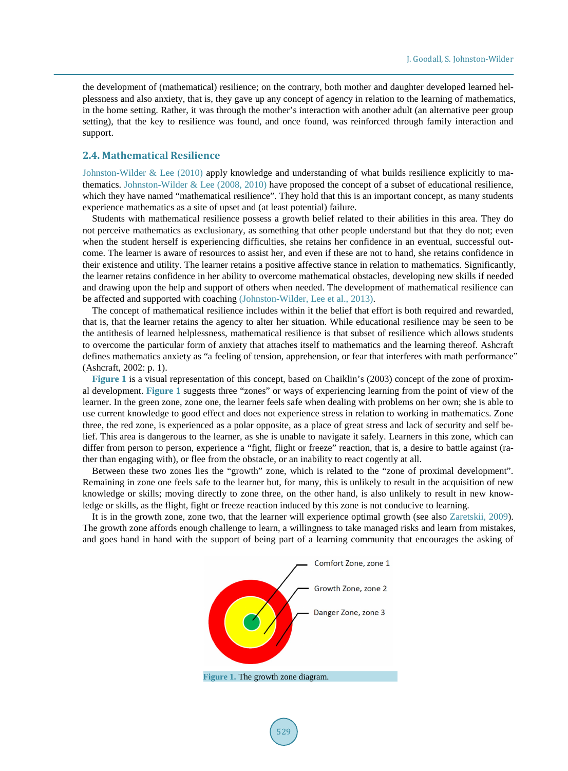the development of (mathematical) resilience; on the contrary, both mother and daughter developed learned helplessness and also anxiety, that is, they gave up any concept of agency in relation to the learning of mathematics, in the home setting. Rather, it was through the mother's interaction with another adult (an alternative peer group setting), that the key to resilience was found, and once found, was reinforced through family interaction and support.

## **2.4. Mathematical Resilience**

Johnston-Wilder & Lee (2010) apply knowledge and understanding of what builds resilience explicitly to mathematics. Johnston-Wilder & Lee (2008, 2010) have proposed the concept of a subset of educational resilience, which they have named "mathematical resilience". They hold that this is an important concept, as many students experience mathematics as a site of upset and (at least potential) failure.

Students with mathematical resilience possess a growth belief related to their abilities in this area. They do not perceive mathematics as exclusionary, as something that other people understand but that they do not; even when the student herself is experiencing difficulties, she retains her confidence in an eventual, successful outcome. The learner is aware of resources to assist her, and even if these are not to hand, she retains confidence in their existence and utility. The learner retains a positive affective stance in relation to mathematics. Significantly, the learner retains confidence in her ability to overcome mathematical obstacles, developing new skills if needed and drawing upon the help and support of others when needed. The development of mathematical resilience can be affected and supported with coaching (Johnston-Wilder, Lee et al., 2013).

The concept of mathematical resilience includes within it the belief that effort is both required and rewarded, that is, that the learner retains the agency to alter her situation. While educational resilience may be seen to be the antithesis of learned helplessness, mathematical resilience is that subset of resilience which allows students to overcome the particular form of anxiety that attaches itself to mathematics and the learning thereof. Ashcraft defines mathematics anxiety as "a feeling of tension, apprehension, or fear that interferes with math performance" (Ashcraft, 2002: p. 1).

**Figure 1** is a visual representation of this concept, based on Chaiklin's (2003) concept of the zone of proximal development. **Figure 1** suggests three "zones" or ways of experiencing learning from the point of view of the learner. In the green zone, zone one, the learner feels safe when dealing with problems on her own; she is able to use current knowledge to good effect and does not experience stress in relation to working in mathematics. Zone three, the red zone, is experienced as a polar opposite, as a place of great stress and lack of security and self belief. This area is dangerous to the learner, as she is unable to navigate it safely. Learners in this zone, which can differ from person to person, experience a "fight, flight or freeze" reaction, that is, a desire to battle against (rather than engaging with), or flee from the obstacle, or an inability to react cogently at all.

Between these two zones lies the "growth" zone, which is related to the "zone of proximal development". Remaining in zone one feels safe to the learner but, for many, this is unlikely to result in the acquisition of new knowledge or skills; moving directly to zone three, on the other hand, is also unlikely to result in new knowledge or skills, as the flight, fight or freeze reaction induced by this zone is not conducive to learning.

It is in the growth zone, zone two, that the learner will experience optimal growth (see also Zaretskii, 2009). The growth zone affords enough challenge to learn, a willingness to take managed risks and learn from mistakes, and goes hand in hand with the support of being part of a learning community that encourages the asking of

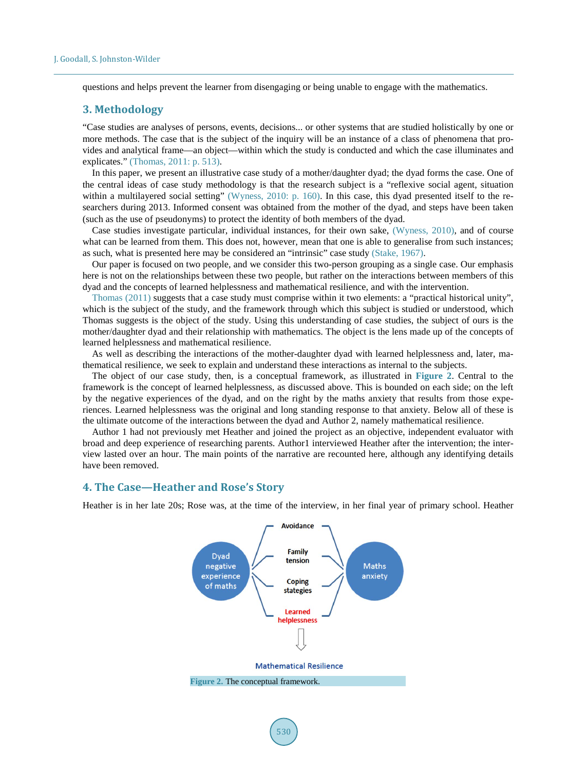questions and helps prevent the learner from disengaging or being unable to engage with the mathematics.

# **3. Methodology**

"Case studies are analyses of persons, events, decisions... or other systems that are studied holistically by one or more methods. The case that is the subject of the inquiry will be an instance of a class of phenomena that provides and analytical frame—an object—within which the study is conducted and which the case illuminates and explicates." (Thomas, 2011: p. 513).

In this paper, we present an illustrative case study of a mother/daughter dyad; the dyad forms the case. One of the central ideas of case study methodology is that the research subject is a "reflexive social agent, situation within a multilayered social setting" (Wyness, 2010: p. 160). In this case, this dyad presented itself to the researchers during 2013. Informed consent was obtained from the mother of the dyad, and steps have been taken (such as the use of pseudonyms) to protect the identity of both members of the dyad.

Case studies investigate particular, individual instances, for their own sake, (Wyness, 2010), and of course what can be learned from them. This does not, however, mean that one is able to generalise from such instances; as such, what is presented here may be considered an "intrinsic" case study (Stake, 1967).

Our paper is focused on two people, and we consider this two-person grouping as a single case. Our emphasis here is not on the relationships between these two people, but rather on the interactions between members of this dyad and the concepts of learned helplessness and mathematical resilience, and with the intervention.

Thomas (2011) suggests that a case study must comprise within it two elements: a "practical historical unity", which is the subject of the study, and the framework through which this subject is studied or understood, which Thomas suggests is the object of the study. Using this understanding of case studies, the subject of ours is the mother/daughter dyad and their relationship with mathematics. The object is the lens made up of the concepts of learned helplessness and mathematical resilience.

As well as describing the interactions of the mother-daughter dyad with learned helplessness and, later, mathematical resilience, we seek to explain and understand these interactions as internal to the subjects.

The object of our case study, then, is a conceptual framework, as illustrated in **Figure 2**. Central to the framework is the concept of learned helplessness, as discussed above. This is bounded on each side; on the left by the negative experiences of the dyad, and on the right by the maths anxiety that results from those experiences. Learned helplessness was the original and long standing response to that anxiety. Below all of these is the ultimate outcome of the interactions between the dyad and Author 2, namely mathematical resilience.

Author 1 had not previously met Heather and joined the project as an objective, independent evaluator with broad and deep experience of researching parents. Author1 interviewed Heather after the intervention; the interview lasted over an hour. The main points of the narrative are recounted here, although any identifying details have been removed.

## **4. The Case—Heather and Rose's Story**

Heather is in her late 20s; Rose was, at the time of the interview, in her final year of primary school. Heather



**Figure 2.** The conceptual framework.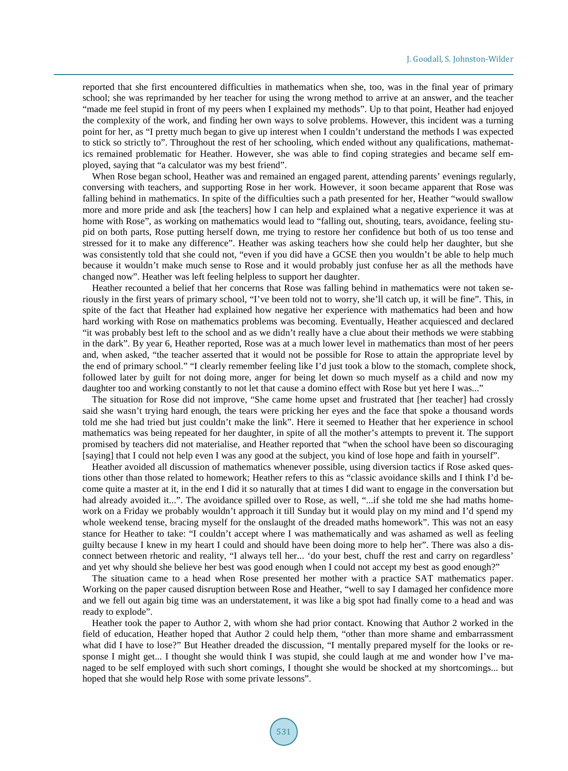reported that she first encountered difficulties in mathematics when she, too, was in the final year of primary school; she was reprimanded by her teacher for using the wrong method to arrive at an answer, and the teacher "made me feel stupid in front of my peers when I explained my methods". Up to that point, Heather had enjoyed the complexity of the work, and finding her own ways to solve problems. However, this incident was a turning point for her, as "I pretty much began to give up interest when I couldn't understand the methods I was expected to stick so strictly to". Throughout the rest of her schooling, which ended without any qualifications, mathematics remained problematic for Heather. However, she was able to find coping strategies and became self employed, saying that "a calculator was my best friend".

When Rose began school, Heather was and remained an engaged parent, attending parents' evenings regularly, conversing with teachers, and supporting Rose in her work. However, it soon became apparent that Rose was falling behind in mathematics. In spite of the difficulties such a path presented for her, Heather "would swallow more and more pride and ask [the teachers] how I can help and explained what a negative experience it was at home with Rose", as working on mathematics would lead to "falling out, shouting, tears, avoidance, feeling stupid on both parts, Rose putting herself down, me trying to restore her confidence but both of us too tense and stressed for it to make any difference". Heather was asking teachers how she could help her daughter, but she was consistently told that she could not, "even if you did have a GCSE then you wouldn't be able to help much because it wouldn't make much sense to Rose and it would probably just confuse her as all the methods have changed now". Heather was left feeling helpless to support her daughter.

Heather recounted a belief that her concerns that Rose was falling behind in mathematics were not taken seriously in the first years of primary school, "I've been told not to worry, she'll catch up, it will be fine". This, in spite of the fact that Heather had explained how negative her experience with mathematics had been and how hard working with Rose on mathematics problems was becoming. Eventually, Heather acquiesced and declared "it was probably best left to the school and as we didn't really have a clue about their methods we were stabbing in the dark". By year 6, Heather reported, Rose was at a much lower level in mathematics than most of her peers and, when asked, "the teacher asserted that it would not be possible for Rose to attain the appropriate level by the end of primary school." "I clearly remember feeling like I'd just took a blow to the stomach, complete shock, followed later by guilt for not doing more, anger for being let down so much myself as a child and now my daughter too and working constantly to not let that cause a domino effect with Rose but yet here I was..."

The situation for Rose did not improve, "She came home upset and frustrated that [her teacher] had crossly said she wasn't trying hard enough, the tears were pricking her eyes and the face that spoke a thousand words told me she had tried but just couldn't make the link". Here it seemed to Heather that her experience in school mathematics was being repeated for her daughter, in spite of all the mother's attempts to prevent it. The support promised by teachers did not materialise, and Heather reported that "when the school have been so discouraging [saying] that I could not help even I was any good at the subject, you kind of lose hope and faith in yourself".

Heather avoided all discussion of mathematics whenever possible, using diversion tactics if Rose asked questions other than those related to homework; Heather refers to this as "classic avoidance skills and I think I'd become quite a master at it, in the end I did it so naturally that at times I did want to engage in the conversation but had already avoided it...". The avoidance spilled over to Rose, as well, "...if she told me she had maths homework on a Friday we probably wouldn't approach it till Sunday but it would play on my mind and I'd spend my whole weekend tense, bracing myself for the onslaught of the dreaded maths homework". This was not an easy stance for Heather to take: "I couldn't accept where I was mathematically and was ashamed as well as feeling guilty because I knew in my heart I could and should have been doing more to help her". There was also a disconnect between rhetoric and reality, "I always tell her... 'do your best, chuff the rest and carry on regardless' and yet why should she believe her best was good enough when I could not accept my best as good enough?"

The situation came to a head when Rose presented her mother with a practice SAT mathematics paper. Working on the paper caused disruption between Rose and Heather, "well to say I damaged her confidence more and we fell out again big time was an understatement, it was like a big spot had finally come to a head and was ready to explode".

Heather took the paper to Author 2, with whom she had prior contact. Knowing that Author 2 worked in the field of education, Heather hoped that Author 2 could help them, "other than more shame and embarrassment what did I have to lose?" But Heather dreaded the discussion, "I mentally prepared myself for the looks or response I might get... I thought she would think I was stupid, she could laugh at me and wonder how I've managed to be self employed with such short comings, I thought she would be shocked at my shortcomings... but hoped that she would help Rose with some private lessons".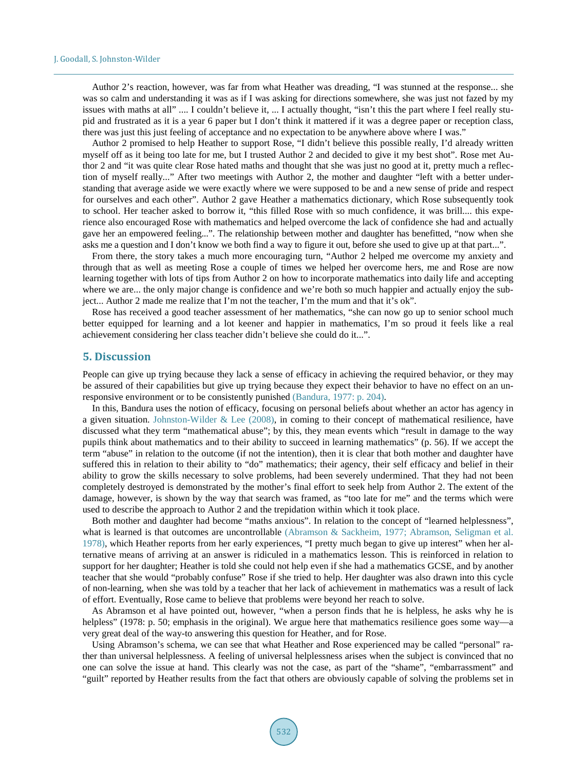Author 2's reaction, however, was far from what Heather was dreading, "I was stunned at the response... she was so calm and understanding it was as if I was asking for directions somewhere, she was just not fazed by my issues with maths at all" .... I couldn't believe it, ... I actually thought, "isn't this the part where I feel really stupid and frustrated as it is a year 6 paper but I don't think it mattered if it was a degree paper or reception class, there was just this just feeling of acceptance and no expectation to be anywhere above where I was."

Author 2 promised to help Heather to support Rose, "I didn't believe this possible really, I'd already written myself off as it being too late for me, but I trusted Author 2 and decided to give it my best shot". Rose met Author 2 and "it was quite clear Rose hated maths and thought that she was just no good at it, pretty much a reflection of myself really..." After two meetings with Author 2, the mother and daughter "left with a better understanding that average aside we were exactly where we were supposed to be and a new sense of pride and respect for ourselves and each other". Author 2 gave Heather a mathematics dictionary, which Rose subsequently took to school. Her teacher asked to borrow it, "this filled Rose with so much confidence, it was brill.... this experience also encouraged Rose with mathematics and helped overcome the lack of confidence she had and actually gave her an empowered feeling...". The relationship between mother and daughter has benefitted, "now when she asks me a question and I don't know we both find a way to figure it out, before she used to give up at that part...".

From there, the story takes a much more encouraging turn, "Author 2 helped me overcome my anxiety and through that as well as meeting Rose a couple of times we helped her overcome hers, me and Rose are now learning together with lots of tips from Author 2 on how to incorporate mathematics into daily life and accepting where we are... the only major change is confidence and we're both so much happier and actually enjoy the subject... Author 2 made me realize that I'm not the teacher, I'm the mum and that it's ok".

Rose has received a good teacher assessment of her mathematics, "she can now go up to senior school much better equipped for learning and a lot keener and happier in mathematics, I'm so proud it feels like a real achievement considering her class teacher didn't believe she could do it...".

## **5. Discussion**

People can give up trying because they lack a sense of efficacy in achieving the required behavior, or they may be assured of their capabilities but give up trying because they expect their behavior to have no effect on an unresponsive environment or to be consistently punished (Bandura, 1977: p. 204).

In this, Bandura uses the notion of efficacy, focusing on personal beliefs about whether an actor has agency in a given situation. Johnston-Wilder & Lee  $(2008)$ , in coming to their concept of mathematical resilience, have discussed what they term "mathematical abuse"; by this, they mean events which "result in damage to the way pupils think about mathematics and to their ability to succeed in learning mathematics" (p. 56). If we accept the term "abuse" in relation to the outcome (if not the intention), then it is clear that both mother and daughter have suffered this in relation to their ability to "do" mathematics; their agency, their self efficacy and belief in their ability to grow the skills necessary to solve problems, had been severely undermined. That they had not been completely destroyed is demonstrated by the mother's final effort to seek help from Author 2. The extent of the damage, however, is shown by the way that search was framed, as "too late for me" and the terms which were used to describe the approach to Author 2 and the trepidation within which it took place.

Both mother and daughter had become "maths anxious". In relation to the concept of "learned helplessness", what is learned is that outcomes are uncontrollable (Abramson & Sackheim, 1977; Abramson, Seligman et al. 1978), which Heather reports from her early experiences, "I pretty much began to give up interest" when her alternative means of arriving at an answer is ridiculed in a mathematics lesson. This is reinforced in relation to support for her daughter; Heather is told she could not help even if she had a mathematics GCSE, and by another teacher that she would "probably confuse" Rose if she tried to help. Her daughter was also drawn into this cycle of non-learning, when she was told by a teacher that her lack of achievement in mathematics was a result of lack of effort. Eventually, Rose came to believe that problems were beyond her reach to solve.

As Abramson et al have pointed out, however, "when a person finds that he is helpless, he asks why he is helpless" (1978: p. 50; emphasis in the original). We argue here that mathematics resilience goes some way—a very great deal of the way-to answering this question for Heather, and for Rose.

Using Abramson's schema, we can see that what Heather and Rose experienced may be called "personal" rather than universal helplessness. A feeling of universal helplessness arises when the subject is convinced that no one can solve the issue at hand. This clearly was not the case, as part of the "shame", "embarrassment" and "guilt" reported by Heather results from the fact that others are obviously capable of solving the problems set in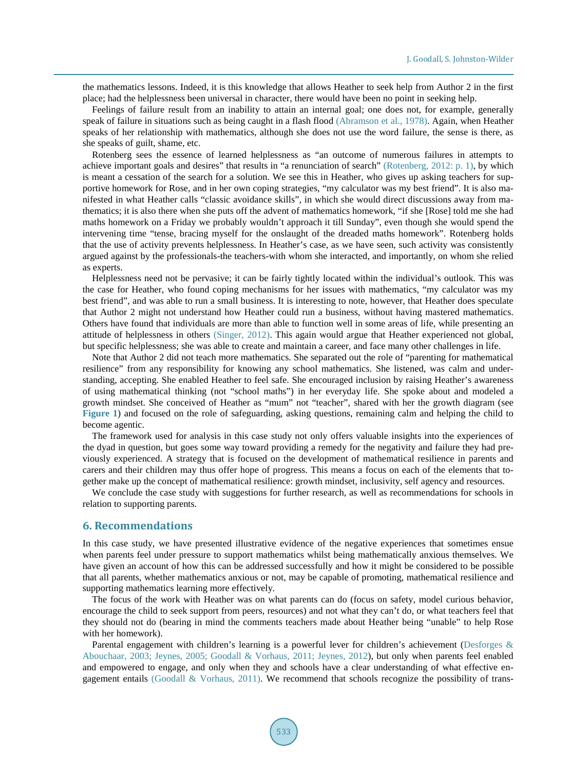the mathematics lessons. Indeed, it is this knowledge that allows Heather to seek help from Author 2 in the first place; had the helplessness been universal in character, there would have been no point in seeking help.

Feelings of failure result from an inability to attain an internal goal; one does not, for example, generally speak of failure in situations such as being caught in a flash flood (Abramson et al., 1978). Again, when Heather speaks of her relationship with mathematics, although she does not use the word failure, the sense is there, as she speaks of guilt, shame, etc.

Rotenberg sees the essence of learned helplessness as "an outcome of numerous failures in attempts to achieve important goals and desires" that results in "a renunciation of search" (Rotenberg, 2012: p. 1), by which is meant a cessation of the search for a solution. We see this in Heather, who gives up asking teachers for supportive homework for Rose, and in her own coping strategies, "my calculator was my best friend". It is also manifested in what Heather calls "classic avoidance skills", in which she would direct discussions away from mathematics; it is also there when she puts off the advent of mathematics homework, "if she [Rose] told me she had maths homework on a Friday we probably wouldn't approach it till Sunday", even though she would spend the intervening time "tense, bracing myself for the onslaught of the dreaded maths homework". Rotenberg holds that the use of activity prevents helplessness. In Heather's case, as we have seen, such activity was consistently argued against by the professionals-the teachers-with whom she interacted, and importantly, on whom she relied as experts.

Helplessness need not be pervasive; it can be fairly tightly located within the individual's outlook. This was the case for Heather, who found coping mechanisms for her issues with mathematics, "my calculator was my best friend", and was able to run a small business. It is interesting to note, however, that Heather does speculate that Author 2 might not understand how Heather could run a business, without having mastered mathematics. Others have found that individuals are more than able to function well in some areas of life, while presenting an attitude of helplessness in others (Singer, 2012). This again would argue that Heather experienced not global, but specific helplessness; she was able to create and maintain a career, and face many other challenges in life.

Note that Author 2 did not teach more mathematics. She separated out the role of "parenting for mathematical resilience" from any responsibility for knowing any school mathematics. She listened, was calm and understanding, accepting. She enabled Heather to feel safe. She encouraged inclusion by raising Heather's awareness of using mathematical thinking (not "school maths") in her everyday life. She spoke about and modeled a growth mindset. She conceived of Heather as "mum" not "teacher", shared with her the growth diagram (see **Figure 1**) and focused on the role of safeguarding, asking questions, remaining calm and helping the child to become agentic.

The framework used for analysis in this case study not only offers valuable insights into the experiences of the dyad in question, but goes some way toward providing a remedy for the negativity and failure they had previously experienced. A strategy that is focused on the development of mathematical resilience in parents and carers and their children may thus offer hope of progress. This means a focus on each of the elements that together make up the concept of mathematical resilience: growth mindset, inclusivity, self agency and resources.

We conclude the case study with suggestions for further research, as well as recommendations for schools in relation to supporting parents.

#### **6. Recommendations**

In this case study, we have presented illustrative evidence of the negative experiences that sometimes ensue when parents feel under pressure to support mathematics whilst being mathematically anxious themselves. We have given an account of how this can be addressed successfully and how it might be considered to be possible that all parents, whether mathematics anxious or not, may be capable of promoting, mathematical resilience and supporting mathematics learning more effectively.

The focus of the work with Heather was on what parents can do (focus on safety, model curious behavior, encourage the child to seek support from peers, resources) and not what they can't do, or what teachers feel that they should not do (bearing in mind the comments teachers made about Heather being "unable" to help Rose with her homework).

Parental engagement with children's learning is a powerful lever for children's achievement (Desforges & Abouchaar, 2003; Jeynes, 2005; Goodall & Vorhaus, 2011; Jeynes, 2012), but only when parents feel enabled and empowered to engage, and only when they and schools have a clear understanding of what effective engagement entails (Goodall & Vorhaus, 2011). We recommend that schools recognize the possibility of trans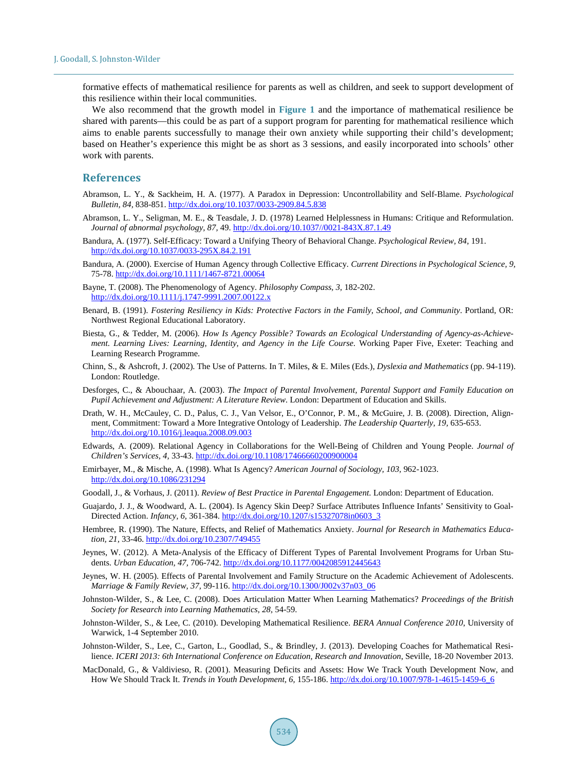formative effects of mathematical resilience for parents as well as children, and seek to support development of this resilience within their local communities.

We also recommend that the growth model in **Figure 1** and the importance of mathematical resilience be shared with parents—this could be as part of a support program for parenting for mathematical resilience which aims to enable parents successfully to manage their own anxiety while supporting their child's development; based on Heather's experience this might be as short as 3 sessions, and easily incorporated into schools' other work with parents.

#### **References**

- Abramson, L. Y., & Sackheim, H. A. (1977). A Paradox in Depression: Uncontrollability and Self-Blame. *Psychological Bulletin, 84,* 838-851. http://dx.doi.org/10.1037/0033-2909.84.5.838
- Abramson, L. Y., Seligman, M. E., & Teasdale, J. D. (1978) Learned Helplessness in Humans: Critique and Reformulation. *Journal of abnormal psychology, 87,* 49. http://dx.doi.org/10.1037//0021-843X.87.1.49
- Bandura, A. (1977). Self-Efficacy: Toward a Unifying Theory of Behavioral Change. *Psychological Review, 84,* 191. http://dx.doi.org/10.1037/0033-295X.84.2.191
- Bandura, A. (2000). Exercise of Human Agency through Collective Efficacy. *Current Directions in Psychological Science, 9,* 75-78. http://dx.doi.org/10.1111/1467-8721.00064
- Bayne, T. (2008). The Phenomenology of Agency. *Philosophy Compass, 3,* 182-202. http://dx.doi.org/10.1111/j.1747-9991.2007.00122.x
- Benard, B. (1991). *Fostering Resiliency in Kids: Protective Factors in the Family, School, and Community*. Portland, OR: Northwest Regional Educational Laboratory.
- Biesta, G., & Tedder, M. (2006). *How Is Agency Possible? Towards an Ecological Understanding of Agency-as-Achievement. Learning Lives: Learning, Identity, and Agency in the Life Course*. Working Paper Five, Exeter: Teaching and Learning Research Programme.
- Chinn, S., & Ashcroft, J. (2002). The Use of Patterns. In T. Miles, & E. Miles (Eds.), *Dyslexia and Mathematics* (pp. 94-119). London: Routledge.
- Desforges, C., & Abouchaar, A. (2003). *The Impact of Parental Involvement, Parental Support and Family Education on Pupil Achievement and Adjustment: A Literature Review*. London: Department of Education and Skills.
- Drath, W. H., McCauley, C. D., Palus, C. J., Van Velsor, E., O'Connor, P. M., & McGuire, J. B. (2008). Direction, Alignment, Commitment: Toward a More Integrative Ontology of Leadership. *The Leadership Quarterly, 19,* 635-653. http://dx.doi.org/10.1016/j.leaqua.2008.09.003
- Edwards, A. (2009). Relational Agency in Collaborations for the Well-Being of Children and Young People. *Journal of Children's Services, 4,* 33-43. http://dx.doi.org/10.1108/17466660200900004
- Emirbayer, M., & Mische, A. (1998). What Is Agency? *American Journal of Sociology, 103,* 962-1023. http://dx.doi.org/10.1086/231294
- Goodall, J., & Vorhaus, J. (2011). *Review of Best Practice in Parental Engagement.* London: Department of Education.
- Guajardo, J. J., & Woodward, A. L. (2004). Is Agency Skin Deep? Surface Attributes Influence Infants' Sensitivity to Goal-Directed Action. *Infancy, 6,* 361-384. http://dx.doi.org/10.1207/s15327078in0603\_3
- Hembree, R. (1990). The Nature, Effects, and Relief of Mathematics Anxiety. *Journal for Research in Mathematics Education, 21,* 33-46. http://dx.doi.org/10.2307/749455
- Jeynes, W. (2012). A Meta-Analysis of the Efficacy of Different Types of Parental Involvement Programs for Urban Students. *Urban Education, 47,* 706-742. http://dx.doi.org/10.1177/0042085912445643
- Jeynes, W. H. (2005). Effects of Parental Involvement and Family Structure on the Academic Achievement of Adolescents. *Marriage & Family Review, 37,* 99-116. http://dx.doi.org/10.1300/J002v37n03\_06
- Johnston-Wilder, S., & Lee, C. (2008). Does Articulation Matter When Learning Mathematics? *Proceedings of the British Society for Research into Learning Mathematics, 28,* 54-59.
- Johnston-Wilder, S., & Lee, C. (2010). Developing Mathematical Resilience. *BERA Annual Conference 2010*, University of Warwick, 1-4 September 2010.
- Johnston-Wilder, S., Lee, C., Garton, L., Goodlad, S., & Brindley, J. (2013). Developing Coaches for Mathematical Resilience. *ICERI 2013: 6th International Conference on Education, Research and Innovation*, Seville, 18-20 November 2013.
- MacDonald, G., & Valdivieso, R. (2001). Measuring Deficits and Assets: How We Track Youth Development Now, and How We Should Track It. *Trends in Youth Development, 6,* 155-186. http://dx.doi.org/10.1007/978-1-4615-1459-6\_6